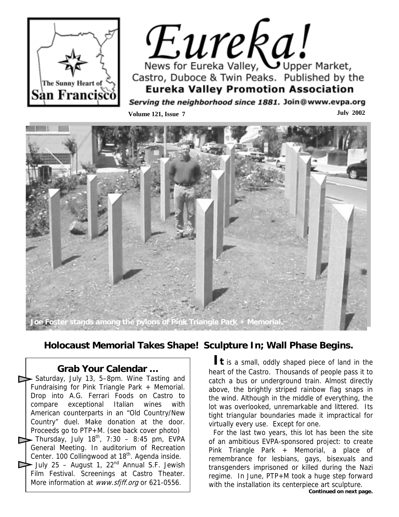

# Eureka! News for Eureka Valley, Upper Market, Castro, Duboce & Twin Peaks. Published by the **Eureka Valley Promotion Association**

Serving the neighborhood since 1881. Join@www.evpa.org **Volume 121, Issue 7** July 2002



**Holocaust Memorial Takes Shape! Sculpture In; Wall Phase Begins.**

**Grab Your Calendar …**  Saturday, July 13, 5–8pm. Wine Tasting and Fundraising for Pink Triangle Park + Memorial. Drop into A.G. Ferrari Foods on Castro to compare exceptional Italian wines with American counterparts in an "Old Country/New Country" duel. Make donation at the door. Proceeds go to PTP+M. (see back cover photo) Thursday, July  $18^{th}$ , 7:30 – 8:45 pm, EVPA

- General Meeting. In auditorium of Recreation Center. 100 Collingwood at 18<sup>th</sup>. Agenda inside.
- July 25 August 1, 22<sup>nd</sup> Annual S.F. Jewish Film Festival. Screenings at Castro Theater. More information at www.sfjff.org or 621-0556.

**It** is a small, oddly shaped piece of land in the heart of the Castro. Thousands of people pass it to catch a bus or underground train. Almost directly above, the brightly striped rainbow flag snaps in the wind. Although in the middle of everything, the lot was overlooked, unremarkable and littered. Its tight triangular boundaries made it impractical for virtually every use. Except for one.

For the last two years, this lot has been the site of an ambitious EVPA-sponsored project: to create Pink Triangle Park + Memorial, a place of remembrance for lesbians, gays, bisexuals and transgenders imprisoned or killed during the Nazi regime. In June, PTP+M took a huge step forward with the installation its centerpiece art sculpture.

Continued on next page.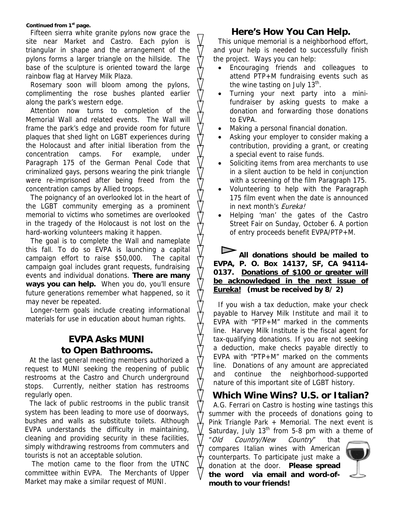#### **Continued from 1st page.**

Fifteen sierra white granite pylons now grace the site near Market and Castro. Each pylon is triangular in shape and the arrangement of the pylons forms a larger triangle on the hillside. The base of the sculpture is oriented toward the large rainbow flag at Harvey Milk Plaza.

Rosemary soon will bloom among the pylons, complimenting the rose bushes planted earlier along the park's western edge.

Attention now turns to completion of the Memorial Wall and related events. The Wall will frame the park's edge and provide room for future plaques that shed light on LGBT experiences during the Holocaust and after initial liberation from the concentration camps. For example, under Paragraph 175 of the German Penal Code that criminalized gays, persons wearing the pink triangle were re-imprisoned after being freed from the concentration camps by Allied troops.

The poignancy of an overlooked lot in the heart of the LGBT community emerging as a prominent memorial to victims who sometimes are overlooked in the tragedy of the Holocaust is not lost on the hard-working volunteers making it happen.

The goal is to complete the Wall and nameplate this fall. To do so EVPA is launching a capital campaign effort to raise \$50,000. The capital campaign goal includes grant requests, fundraising events and individual donations. **There are many ways you can help.** When you do, you'll ensure future generations remember what happened, so it may never be repeated.

Longer-term goals include creating informational materials for use in education about human rights.

#### **EVPA Asks MUNI to Open Bathrooms.**

At the last general meeting members authorized a request to MUNI seeking the reopening of public restrooms at the Castro and Church underground stops. Currently, neither station has restrooms regularly open.

The lack of public restrooms in the public transit system has been leading to more use of doorways, bushes and walls as substitute toilets. Although EVPA understands the difficulty in maintaining, cleaning and providing security in these facilities, simply withdrawing restrooms from commuters and tourists is not an acceptable solution.

 The motion came to the floor from the UTNC committee within EVPA. The Merchants of Upper Market may make a similar request of MUNI.

#### **Here's How You Can Help.**

This unique memorial is a neighborhood effort, and your help is needed to successfully finish the project. Ways you can help:

- Encouraging friends and colleagues to attend PTP+M fundraising events such as the wine tasting on July  $13<sup>th</sup>$ .
- Turning your next party into a minifundraiser by asking guests to make a donation and forwarding those donations to EVPA.
- Making a personal financial donation.
- Asking your employer to consider making a contribution, providing a grant, or creating a special event to raise funds.
- Soliciting items from area merchants to use in a silent auction to be held in conjunction with a screening of the film Paragraph 175.
- Volunteering to help with the Paragraph 175 film event when the date is announced in next month's *Eureka!*
- Helping 'man' the gates of the Castro Street Fair on Sunday, October 6. A portion of entry proceeds benefit EVPA/PTP+M.

#### **All donations should be mailed to EVPA, P. O. Box 14137, SF, CA 94114- 0137. Donations of \$100 or greater will be acknowledged in the next issue of Eureka! (must be received by 8/ 2)**

If you wish a tax deduction, make your check payable to Harvey Milk Institute and mail it to EVPA with "PTP+M" marked in the comments line. Harvey Milk Institute is the fiscal agent for tax-qualifying donations. If you are not seeking a deduction, make checks payable directly to EVPA with "PTP+M" marked on the comments line. Donations of any amount are appreciated and continue the neighborhood-supported nature of this important site of LGBT history.

### **Which Wine Wins? U.S. or Italian?**

A.G. Ferrari on Castro is hosting wine tastings this summer with the proceeds of donations going to Pink Triangle Park + Memorial. The next event is Saturday, July  $13<sup>th</sup>$  from 5-8 pm with a theme of

"Old Country/New Country" that compares Italian wines with American counterparts. To participate just make a donation at the door. **Please spread the word via email and word-ofmouth to your friends!**

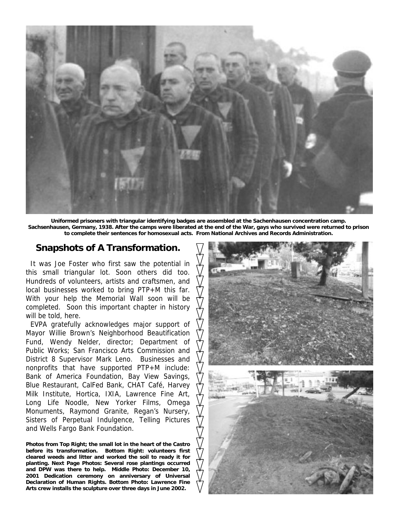

**Uniformed prisoners with triangular identifying badges are assembled at the Sachenhausen concentration camp. Sachsenhausen, Germany, 1938. After the camps were liberated at the end of the War, gays who survived were returned to prison to complete their sentences for homosexual acts. From National Archives and Records Administration.**

#### **Snapshots of A Transformation.**

It was Joe Foster who first saw the potential in this small triangular lot. Soon others did too. Hundreds of volunteers, artists and craftsmen, and local businesses worked to bring PTP+M this far. With your help the Memorial Wall soon will be completed. Soon this important chapter in history will be told, here.

 District 8 Supervisor Mark Leno. Businesses and EVPA gratefully acknowledges major support of Mayor Willie Brown's Neighborhood Beautification Fund, Wendy Nelder, director; Department of Public Works; San Francisco Arts Commission and nonprofits that have supported PTP+M include: Bank of America Foundation, Bay View Savings, Blue Restaurant, CalFed Bank, CHAT Café, Harvey Milk Institute, Hortica, IXIA, Lawrence Fine Art, Long Life Noodle, New Yorker Films, Omega Monuments, Raymond Granite, Regan's Nursery, Sisters of Perpetual Indulgence, Telling Pictures and Wells Fargo Bank Foundation.

**Photos from Top Right; the small lot in the heart of the Castro before its transformation. Bottom Right: volunteers first cleared weeds and litter and worked the soil to ready it for planting. Next Page Photos: Several rose plantings occurred and DPW was there to help. Middle Photo: December 10, 2001 Dedication ceremony on anniversary of Universal Declaration of Human Rights. Bottom Photo: Lawrence Fine Arts crew installs the sculpture over three days in June 2002.** 

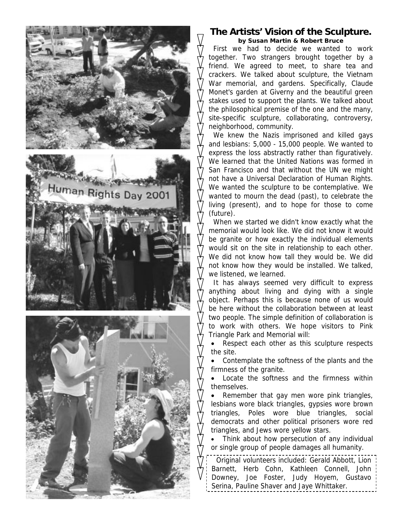

#### **The Artists' Vision of the Sculpture.**

*by Susan Martin & Robert Bruce*  First we had to decide we wanted to work together. Two strangers brought together by a friend. We agreed to meet, to share tea and crackers. We talked about sculpture, the Vietnam War memorial, and gardens. Specifically, Claude Monet's garden at Giverny and the beautiful green stakes used to support the plants. We talked about the philosophical premise of the one and the many, site-specific sculpture, collaborating, controversy, neighborhood, community.

We knew the Nazis imprisoned and killed gays and lesbians: 5,000 - 15,000 people. We wanted to express the loss abstractly rather than figuratively. We learned that the United Nations was formed in San Francisco and that without the UN we might not have a Universal Declaration of Human Rights. We wanted the sculpture to be contemplative. We wanted to mourn the dead (past), to celebrate the living (present), and to hope for those to come (future).

When we started we didn't know exactly what the memorial would look like. We did not know it would be granite or how exactly the individual elements would sit on the site in relationship to each other. We did not know how tall they would be. We did not know how they would be installed. We talked, we listened, we learned.

It has always seemed very difficult to express anything about living and dying with a single object. Perhaps this is because none of us would be here without the collaboration between at least two people. The simple definition of collaboration is to work with others. We hope visitors to Pink Triangle Park and Memorial will:

Respect each other as this sculpture respects the site.

• Contemplate the softness of the plants and the firmness of the granite.

Locate the softness and the firmness within themselves.

Remember that gay men wore pink triangles, lesbians wore black triangles, gypsies wore brown triangles, Poles wore blue triangles, social democrats and other political prisoners wore red triangles, and Jews wore yellow stars.

Think about how persecution of any individual or single group of people damages all humanity.

Original volunteers included: Gerald Abbott, Lion Barnett, Herb Cohn, Kathleen Connell, John Downey, Joe Foster, Judy Hoyem, Gustavo Serina, Pauline Shaver and Jaye Whittaker.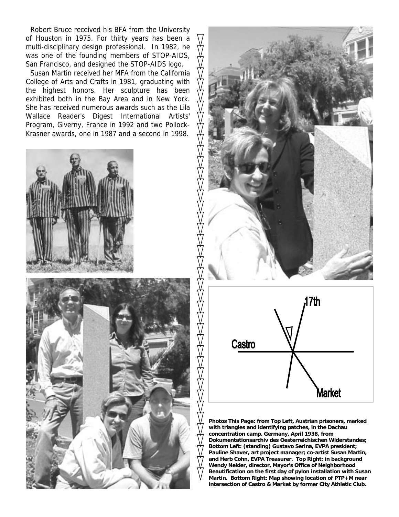Robert Bruce received his BFA from the University of Houston in 1975. For thirty years has been a multi-disciplinary design professional. In 1982, he was one of the founding members of STOP-AIDS, San Francisco, and designed the STOP-AIDS logo.

Susan Martin received her MFA from the California College of Arts and Crafts in 1981, graduating with the highest honors. Her sculpture has been exhibited both in the Bay Area and in New York. She has received numerous awards such as the Lila Wallace Reader's Digest International Artists' Program, Giverny, France in 1992 and two Pollock-Krasner awards, one in 1987 and a second in 1998.









**Photos This Page: from Top Left, Austrian prisoners, marked with triangles and identifying patches, in the Dachau concentration camp. Germany, April 1938, from Dokumentationsarchiv des Oesterreichischen Widerstandes; Bottom Left: (standing) Gustavo Serina, EVPA president; Pauline Shaver, art project manager; co-artist Susan Martin, and Herb Cohn, EVPA Treasurer. Top Right: in background Wendy Nelder, director, Mayor's Office of Neighborhood Beautification on the first day of pylon installation with Susan Martin. Bottom Right: Map showing location of PTP+M near intersection of Castro & Market by former City Athletic Club.**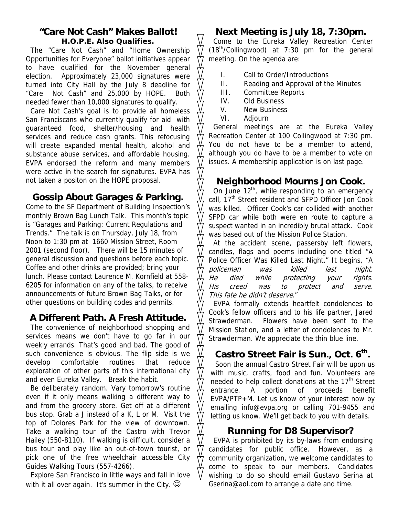### **"Care Not Cash" Makes Ballot!**

**H.O.P.E. Also Qualifies.** 

The "Care Not Cash" and "Home Ownership Opportunities for Everyone" ballot initiatives appear to have qualified for the November general election. Approximately 23,000 signatures were turned into City Hall by the July 8 deadline for "Care Not Cash" and 25,000 by HOPE. Both needed fewer than 10,000 signatures to qualify.

Care Not Cash's goal is to provide all homeless San Franciscans who currently qualify for aid with guaranteed food, shelter/housing and health services and reduce cash grants. This refocusing will create expanded mental health, alcohol and substance abuse services, and affordable housing. EVPA endorsed the reform and many members were active in the search for signatures. EVPA has not taken a positon on the HOPE proposal.

### **Gossip About Garages & Parking.**

Come to the SF Department of Building Inspection's monthly Brown Bag Lunch Talk. This month's topic is "Garages and Parking: Current Regulations and Trends." The talk is on Thursday, July 18, from Noon to 1:30 pm at 1660 Mission Street, Room 2001 (second floor). There will be 15 minutes of general discussion and questions before each topic. Coffee and other drinks are provided; bring your lunch. Please contact Laurence M. Kornfield at 558- 6205 for information on any of the talks, to receive announcements of future Brown Bag Talks, or for other questions on building codes and permits.

### **A Different Path. A Fresh Attitude.**

The convenience of neighborhood shopping and services means we don't have to go far in our weekly errands. That's good and bad. The good of such convenience is obvious. The flip side is we develop comfortable routines that reduce exploration of other parts of this international city and even Eureka Valley. Break the habit.

Be deliberately random. Vary tomorrow's routine even if it only means walking a different way to and from the grocery store. Get off at a different bus stop. Grab a J instead of a K, L or M. Visit the top of Dolores Park for the view of downtown. Take a walking tour of the Castro with Trevor Hailey (550-8110). If walking is difficult, consider a bus tour and play like an out-of-town tourist, or pick one of the free wheelchair accessible City Guides Walking Tours (557-4266).

Explore San Francisco in little ways and fall in love with it all over again. It's summer in the City.  $\odot$ 

### **Next Meeting is July 18, 7:30pm.**

Come to the Eureka Valley Recreation Center  $(18<sup>th</sup>/Collingwood)$  at 7:30 pm for the general meeting. On the agenda are:

- I. Call to Order/Introductions
- II. Reading and Approval of the Minutes
- III. Committee Reports
- IV. Old Business
- V. New Business
- VI. Adjourn

General meetings are at the Eureka Valley Recreation Center at 100 Collingwood at 7:30 pm. You do not have to be a member to attend, although you do have to be a member to vote on issues. A membership application is on last page.

### **Neighborhood Mourns Jon Cook.**

On June  $12<sup>th</sup>$ , while responding to an emergency call, 17<sup>th</sup> Street resident and SFPD Officer Jon Cook was killed. Officer Cook's car collided with another SFPD car while both were en route to capture a suspect wanted in an incredibly brutal attack. Cook was based out of the Mission Police Station.

At the accident scene, passersby left flowers, candles, flags and poems including one titled "A Police Officer Was Killed Last Night." It begins, "A policeman was killed last night. He died while protecting your rights. His creed was to protect and serve. This fate he didn't deserve."

EVPA formally extends heartfelt condolences to Cook's fellow officers and to his life partner, Jared Strawderman. Flowers have been sent to the Mission Station, and a letter of condolences to Mr. Strawderman. We appreciate the thin blue line.

### Castro Street Fair is Sun., Oct. 6<sup>th</sup>.

Soon the annual Castro Street Fair will be upon us with music, crafts, food and fun. Volunteers are needed to help collect donations at the 17<sup>th</sup> Street entrance. A portion of proceeds benefit EVPA/PTP+M. Let us know of your interest now by emailing info@evpa.org or calling 701-9455 and letting us know. We'll get back to you with details.

#### **Running for D8 Supervisor?**

EVPA is prohibited by its by-laws from endorsing candidates for public office. However, as a community organization, we welcome candidates to come to speak to our members. Candidates wishing to do so should email Gustavo Serina at Gserina@aol.com to arrange a date and time.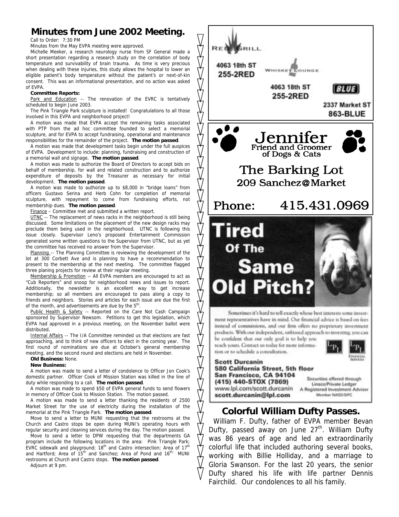#### **Minutes from June 2002 Meeting.**

Call to Order: 7:30 PM

Minutes from the May EVPA meeting were approved.

Michelle Meeker, a research neurology nurse from SF General made a short presentation regarding a research study on the correlation of body temperature and survivability of brain trauma. As time is very precious when dealing with these injuries, this study allows the hospital to lower an eligible patient's body temperature without the patient's or next-of-kin consent. This was an informational presentation, and no action was asked of EVPA.

#### **Committee Reports:**

Park and Education -- The renovation of the EVRC is tentatively scheduled to begin June 2003.

The Pink Triangle Park sculpture is installed! Congratulations to all those involved in this EVPA and neighborhood project!

A motion was made that EVPA accept the remaining tasks associated with PTP from the ad hoc committee founded to select a memorial sculpture, and for EVPA to accept fundraising, operational and maintenance responsibilities for the remainder of the project. **The motion passed**.

A motion was made that development tasks begin under the full auspices of EVPA. Development to include: planning, fundraising and construction of a memorial wall and signage. **The motion passed**.

A motion was made to authorize the Board of Directors to accept bids on behalf of membership, for wall and related construction and to authorize expenditure of deposits by the Treasurer as necessary for initial development. **The motion passed**.

A motion was made to authorize up to \$8,000 in "bridge loans" from officers Gustavo Serina and Herb Cohn for completion of memorial sculpture, with repayment to come from fundraising efforts, not membership dues. **The motion passed**.

Finance – Committee met and submitted a written report.

UTNC -- The replacement of news racks in the neighborhood is still being discussed. Some limitations on the placement of the new design racks may preclude them being used in the neighborhood. UTNC is following this issue closely. Supervisor Leno's proposed Entertainment Commission generated some written questions to the Supervisor from UTNC, but as yet the committee has received no answer from the Supervisor.

Planning -- The Planning Committee is reviewing the development of the lot at 300 Corbett Ave and is planning to have a recommendation to present to the membership at the next meeting. The committee flagged three planing projects for review at their regular meeting.

Membership & Promotion -- All EVPA members are encouraged to act as "Cub Reporters" and snoop for neighborhood news and issues to report. Additionally, the newsletter is an excellent way to get increase membership; so all members are encouraged to pass along a copy to friends and neighbors. Stories and articles for each issue are due the first of the month, and advertisements are due by the 5<sup>th</sup>.

Public Health & Safety -- Reported on the Care Not Cash Campaign sponsored by Supervisor Newsom. Petitions to get this legislation, which EVPA had approved in a previous meeting, on the November ballot were distributed.

Internal Affairs -- The I/A Committee reminded us that elections are fast approaching, and to think of new officers to elect in the coming year. The first round of nominations are due at October's general membership meeting, and the second round and elections are held in November.

#### **Old Business:** None.

**New Business:** 

A motion was made to send a letter of condolence to Officer Jon Cook's domestic partner. Officer Cook of Mission Station was killed in the line of duty while responding to a call. **The motion passed**.

A motion was made to spend \$50 of EVPA general funds to send flowers in memory of Officer Cook to Mission Station. The motion passed.

A motion was made to send a letter thanking the residents of 2500 Market Street for the use of electricity during the installation of the memorial at the Pink Triangle Park. **The motion passed**.

Move to send a letter to MUNI requesting that the restrooms at the Church and Castro stops be open during MUNI's operating hours with regular security and cleaning services during the day. The motion passed.

Move to send a letter to DPW requesting that the departments GA program include the following locations in the area: Pink Triangle Park;<br>EVRC sidewalk and playground; 18<sup>th</sup> and Castro intersection; Area of 17<sup>th</sup> and Hartford; Area of 15<sup>th</sup> and Sanchez; Area of Pond and 16<sup>th;</sup> MUNI restrooms at Church and Castro stops. **The motion passed**.

Adjourn at 9 pm.



Dufty shared his life with life partner Dennis

Fairchild. Our condolences to all his family.